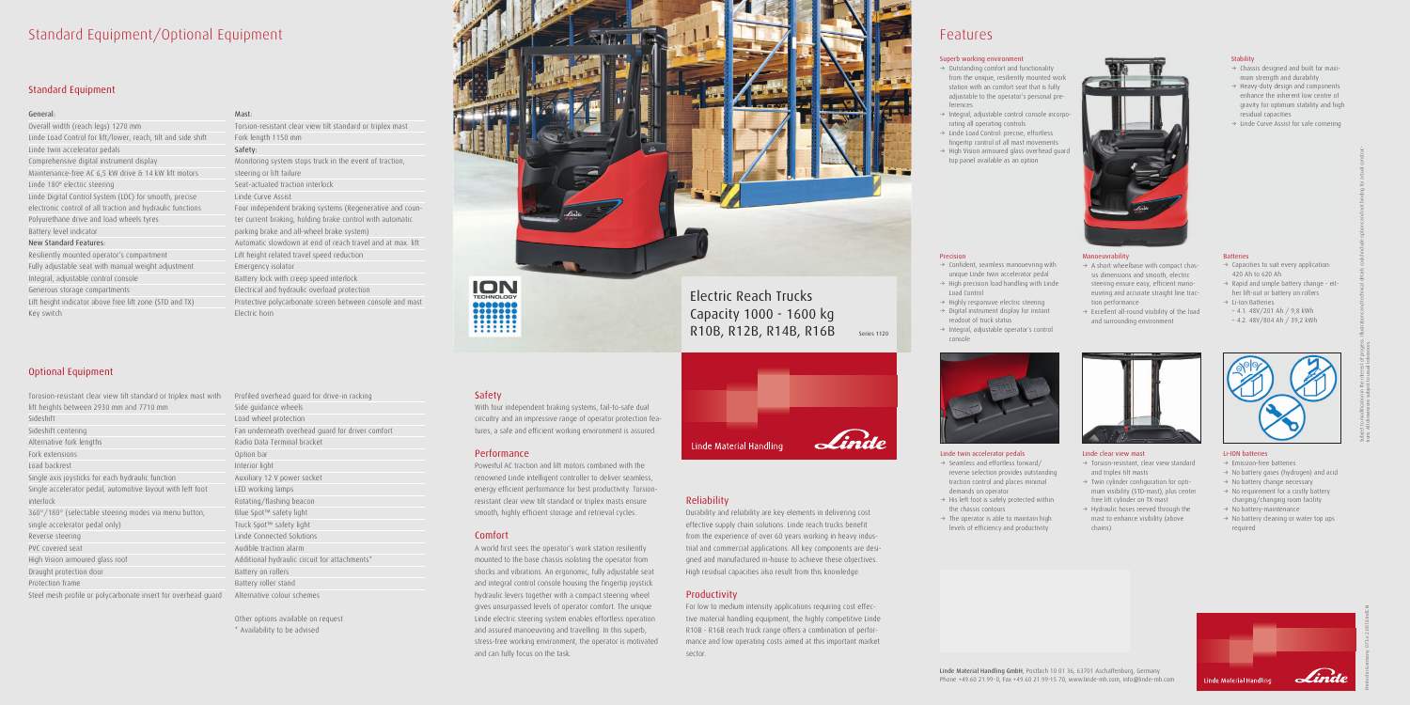## Standard Equipment/Optional Equipment

## Standard Equipment

#### General:

Overall width (reach legs) 1270 mm Linde Load Control for lift/lower, reach, tilt and side shift Linde twin accelerator pedals Comprehensive digital instrument display Maintenance-free AC 6,5 kW drive & 14 kW lift motors Linde 180º electric steering Linde Digital Control System (LDC) for smooth, precise electronic control of all traction and hydraulic functions Polyurethane drive and load wheels tyres Battery level indicator New Standard Features: Resiliently mounted operator's compartment Fully adjustable seat with manual weight adjustment Integral, adjustable control console

Generous storage compartments Lift height indicator above free lift zone (STD and TX)

Key switch

## Optional Equipment

Torosion-resistant clear view tilt standard or triplex mast with Profiled overhead guard for drive-in racking lift heights between 2930 mm and 7710 mm Sideshift Sideshift centering Alternative fork lengths Fork extensions Load backrest Single axis joysticks for each hydraulic function Single accelerator pedal, automotive layout with left foot interlock 360°/180° (selectable steering modes via menu button, single accelerator pedal only) Reverse steering PVC covered seat High Vision armoured glass roof Draught protection door Protection frame

#### Mast:

| Torsion-resistant clear view tilt standard or triplex mast |
|------------------------------------------------------------|
| Fork length 1150 mm                                        |
| Safety:                                                    |
| Monitoring system stops truck in the event of traction,    |
| steering or lift failure                                   |
| Seat-actuated traction interlock                           |
| Linde Curve Assist                                         |
| Four independent braking systems (Regenerative and coun-   |
| ter current braking, holding brake control with automatic  |
| parking brake and all-wheel brake system)                  |
| Automatic slowdown at end of reach travel and at max. lift |
| Lift height related travel speed reduction                 |
| Emergency isolator                                         |
| Battery lock with creep speed interlock                    |
| Electrical and hydraulic overload protection               |
| Protective polycarbonate screen between console and mast   |
| Electric horn                                              |
|                                                            |

## Steel mesh profile or polycarbonate insert for overhead guard Alternative colour schemes Side guidance wheels Load wheel protection Fan underneath overhead guard for driver comfort Radio Data Terminal bracket Option bar Interior light Auxiliary 12 V power socket LED working lamps Rotating/flashing beacon Blue Spot™ safety light Truck Spot™ safety light Linde Connected Solutions Audible traction alarm Additional hydraulic circuit for attachments\* Battery on rollers Battery roller stand

 $\rightarrow$  The operator is able to maintain high levels of efficiency and productivity

Other options available on request \* Availability to be advised





## Safety

- $\rightarrow$  Torsion-resistant, clear view standard and triplex tilt masts
- $\rightarrow$  Twin cylinder configuration for optimum visibility (STD-mast), plus center free lift cylinder on TX-mast
- $\rightarrow$  Hydraulic hoses reeved through the mast to enhance visibility (above chains)



With four independent braking systems, fail-to-safe dual circuitry and an impressive range of operator protection features, a safe and efficient working environment is assured.

420 Ah to 620 Ah  $\rightarrow$  Rapid and simple battery change - either lift-out or battery on rollers  $\rightarrow$  Li-Ion Batteries

 $\rightarrow$  Capacities to suit every application:

### Performance

- $\rightarrow$  Emission-free batteries
- $\rightarrow$  No battery gases (hydrogen) and acid
- $\rightarrow$  No battery change necessary
- $\rightarrow$  No requirement for a costly battery charging/changing room facility
- $\rightarrow$  No battery-maintenance
- $\rightarrow$  No battery cleaning or water top ups required



Powerful AC traction and lift motors combined with the renowned Linde intelligent controller to deliver seamless, energy efficient performance for best productivity. Torsionresistant clear view tilt standard or triplex masts ensure smooth, highly efficient storage and retrieval cycles.

### Comfort

 $\rightarrow$  A short wheelbase with compact chassis dimensions and smooth, electric steering ensure easy, efficient manoeuvring and accurate straight line trac-

 $\rightarrow$  Excellent all-round visibility of the load and surrounding environment

A world first sees the operator's work station resiliently mounted to the base chassis isolating the operator from shocks and vibrations. An ergonomic, fully adjustable seat and integral control console housing the fingertip joystick hydraulic levers together with a compact steering wheel gives unsurpassed levels of operator comfort. The unique Linde electric steering system enables effortless operation and assured manoeuvring and travelling. In this superb, stress-free working environment, the operator is motivated and can fully focus on the task.

## Linde Material Handling

- $\rightarrow$  Outstanding comfort and functionality from the unique, resiliently mounted work station with an comfort seat that is fully adjustable to the operator's personal preferences
- $\rightarrow$  Integral, adjustable control console incorporating all operating controls
- $\rightarrow$  Linde Load Control: precise, effortless fingertip control of all mast movements

 $\rightarrow$  Confident, seamless manouevring with unique Linde twin accelerator pedal  $\rightarrow$  High precision load handling with Linde

 $\rightarrow$  Highly responsive electric steering  $\rightarrow$  Digital instrument display for instant

 $\rightarrow$  Integral, adjustable operator's control

 $\rightarrow$  High Vision armoured glass overhead guard top panel available as an option

## Electric Reach Trucks Capacity 1000 - 1600 kg R10B, R12B, R14B, R16B Series 1120



#### Reliability

Durability and reliability are key elements in delivering cost effective supply chain solutions. Linde reach trucks benefit from the experience of over 60 years working in heavy industrial and commercial applications. All key components are designed and manufactured in-house to achieve these objectives. High residual capacities also result from this knowledge.

## Productivity

For low to medium intensity applications requiring cost effective material handling equipment, the highly competitive Linde R10B - R16B reach truck range offers a combination of performance and low operating costs aimed at this important market sector.



## Features

Linde Material Handling GmbH, Postfach 10 01 36, 63701 Aschaffenburg, Germany Phone +49.60 21.99-0, Fax +49.60 21.99-15 70, www.linde-mh.com, info@linde-mh.com

Linde twin accelerator pedals  $\rightarrow$  Seamless and effortless forward/ reverse selection provides outstanding traction control and places minimal

demands on operator

the chassis contours

 $\rightarrow$  His left foot is safely protected within

Precision

Load Control

readout of truck status

console

#### Linde clear view mast

Batteries

- $\rightarrow$  Chassis designed and built for maximum strength and durability
- $\rightarrow$  Heavy-duty design and components enhance the inherent low centre of gravity for optimum stability and high residual capacities
- $\rightarrow$  Linde Curve Assist for safe cornering

- 4.1. 48V/201 Ah / 9,8 kWh
- 4.2. 48V/804 Ah / 39,2 kWh



#### Li-ION batteries

Printed in Germany 073.e.2.0818.IndC.Ki

#### Stability

Manoeuvrability

tion performance

### Superb working environment